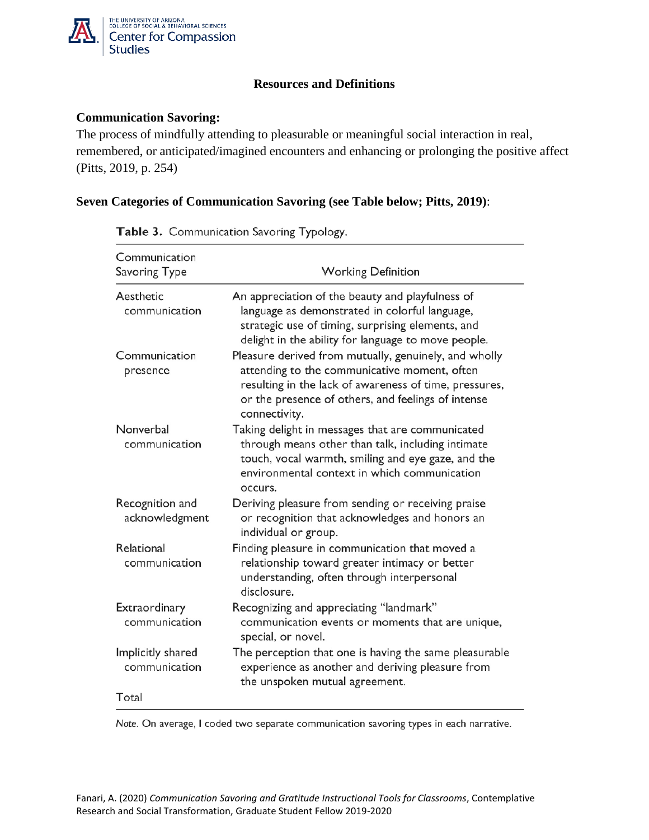

## **Resources and Definitions**

## **Communication Savoring:**

The process of mindfully attending to pleasurable or meaningful social interaction in real, remembered, or anticipated/imagined encounters and enhancing or prolonging the positive affect (Pitts, 2019, p. 254)

## **Seven Categories of Communication Savoring (see Table below; Pitts, 2019)**:

| Communication<br>Savoring Type     | <b>Working Definition</b>                                                                                                                                                                                                              |
|------------------------------------|----------------------------------------------------------------------------------------------------------------------------------------------------------------------------------------------------------------------------------------|
| Aesthetic<br>communication         | An appreciation of the beauty and playfulness of<br>language as demonstrated in colorful language,<br>strategic use of timing, surprising elements, and<br>delight in the ability for language to move people.                         |
| Communication<br>presence          | Pleasure derived from mutually, genuinely, and wholly<br>attending to the communicative moment, often<br>resulting in the lack of awareness of time, pressures,<br>or the presence of others, and feelings of intense<br>connectivity. |
| Nonverbal<br>communication         | Taking delight in messages that are communicated<br>through means other than talk, including intimate<br>touch, vocal warmth, smiling and eye gaze, and the<br>environmental context in which communication<br>occurs.                 |
| Recognition and<br>acknowledgment  | Deriving pleasure from sending or receiving praise<br>or recognition that acknowledges and honors an<br>individual or group.                                                                                                           |
| Relational<br>communication        | Finding pleasure in communication that moved a<br>relationship toward greater intimacy or better<br>understanding, often through interpersonal<br>disclosure.                                                                          |
| Extraordinary<br>communication     | Recognizing and appreciating "landmark"<br>communication events or moments that are unique,<br>special, or novel.                                                                                                                      |
| Implicitly shared<br>communication | The perception that one is having the same pleasurable<br>experience as another and deriving pleasure from<br>the unspoken mutual agreement.                                                                                           |
| Total                              |                                                                                                                                                                                                                                        |

Table 3. Communication Savoring Typology.

Note. On average, I coded two separate communication savoring types in each narrative.